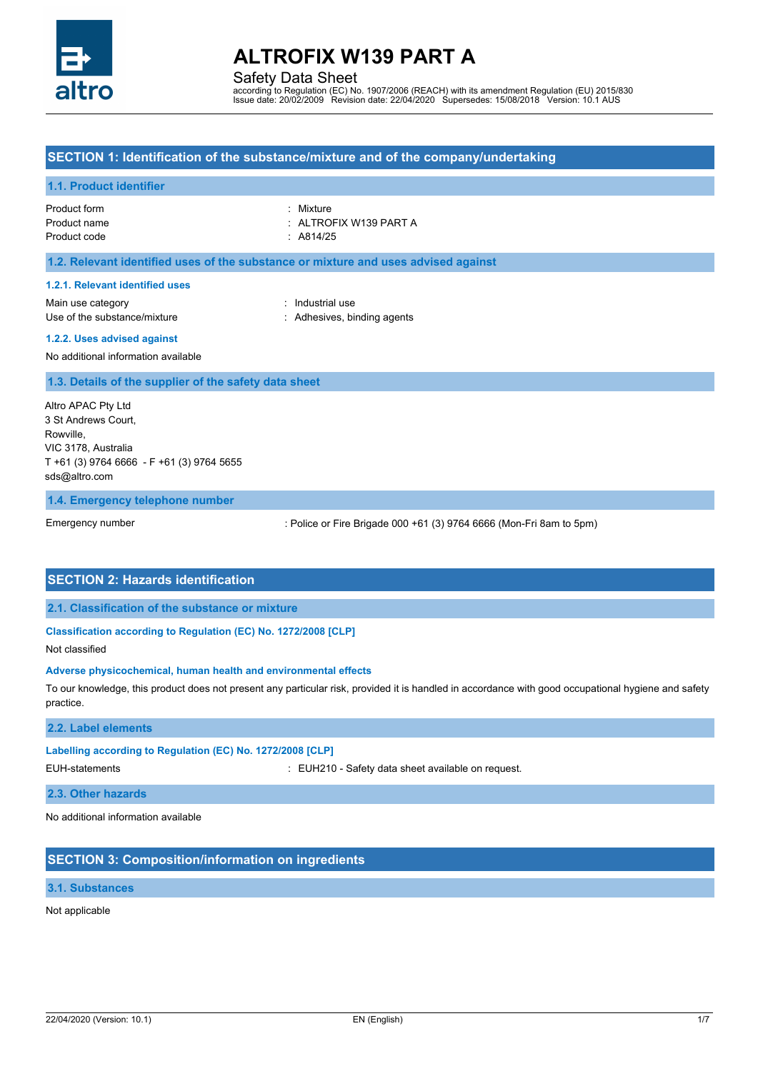

Safety Data Sheet

according to Regulation (EC) No. 1907/2006 (REACH) with its amendment Regulation (EU) 2015/830 Issue date: 20/02/2009 Revision date: 22/04/2020 Supersedes: 15/08/2018 Version: 10.1 AUS

# **SECTION 1: Identification of the substance/mixture and of the company/undertaking**

#### **1.1. Product identifier**

Product form **: Mixture** Product name : ALTROFIX W139 PART A Product code : A814/25

## **1.2. Relevant identified uses of the substance or mixture and uses advised against**

#### **1.2.1. Relevant identified uses**

Main use category **industrial use** industrial use Use of the substance/mixture in the substance in the set of the substance/mixture in the set of the substance in the substance in the set of the substance/mixture in the set of the substance/mixture in the set of the set o

#### **1.2.2. Uses advised against**

No additional information available

## **1.3. Details of the supplier of the safety data sheet**

Altro APAC Pty Ltd 3 St Andrews Court, **Rowville** VIC 3178, Australia T +61 (3) 9764 6666 - F +61 (3) 9764 5655 [sds@altro.com](mailto:sales@chemiqueadhesives.com)

#### **1.4. Emergency telephone number**

Emergency number

: Police or Fire Brigade 000 +61 (3) 9764 6666 (Mon-Fri 8am to 5pm)

# **SECTION 2: Hazards identification**

**2.1. Classification of the substance or mixture**

# **Classification according to Regulation (EC) No. 1272/2008 [CLP]**

Not classified

#### **Adverse physicochemical, human health and environmental effects**

To our knowledge, this product does not present any particular risk, provided it is handled in accordance with good occupational hygiene and safety practice.

# **2.2. Label elements**

# **Labelling according to Regulation (EC) No. 1272/2008 [CLP]**

EUH-statements : EUH210 - Safety data sheet available on request.

# **2.3. Other hazards**

No additional information available

# **SECTION 3: Composition/information on ingredients**

# **3.1. Substances**

# Not applicable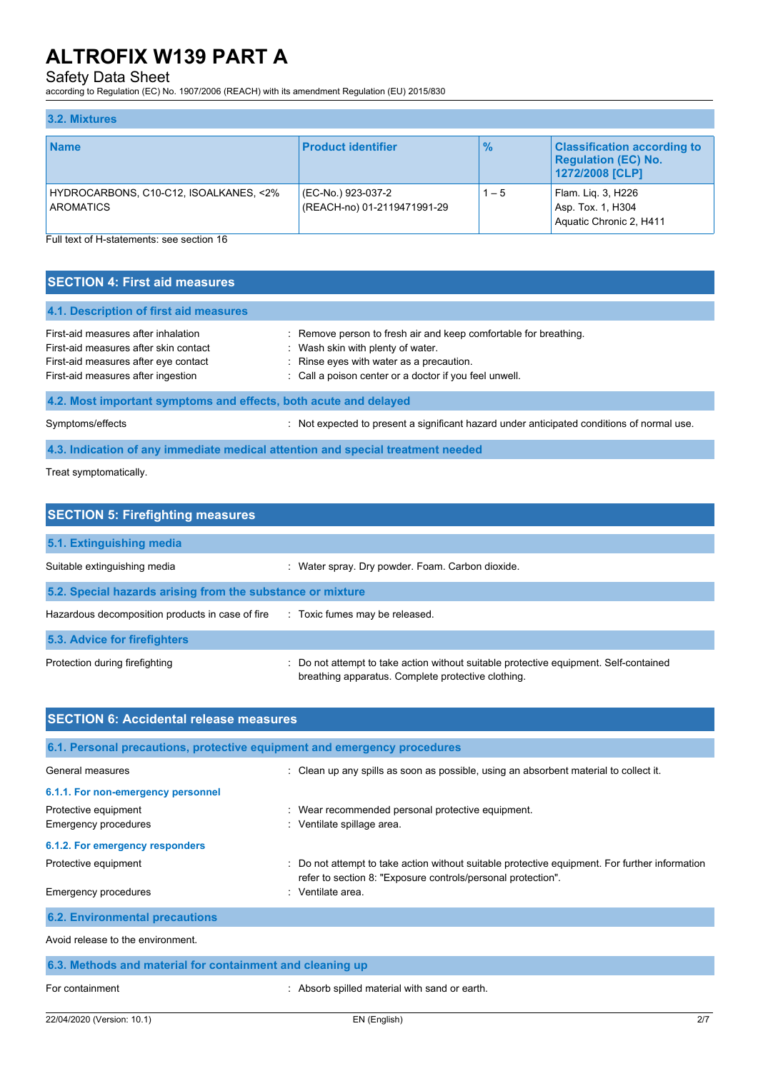# Safety Data Sheet

according to Regulation (EC) No. 1907/2006 (REACH) with its amendment Regulation (EU) 2015/830

# **3.2. Mixtures**

| <b>Name</b>                                                | <b>Product identifier</b>                         | $\frac{9}{6}$ | <b>Classification according to</b><br><b>Regulation (EC) No.</b><br>1272/2008 [CLP] |
|------------------------------------------------------------|---------------------------------------------------|---------------|-------------------------------------------------------------------------------------|
| HYDROCARBONS, C10-C12, ISOALKANES, <2%<br><b>AROMATICS</b> | (EC-No.) 923-037-2<br>(REACH-no) 01-2119471991-29 | $1 - 5$       | Flam. Lig. 3, H226<br>Asp. Tox. 1, H304<br>Aquatic Chronic 2, H411                  |

Full text of H-statements: see section 16

# **SECTION 4: First aid measures**

| 4.1. Description of first aid measures                                                                                                                     |                                                                                                                                                                                                             |
|------------------------------------------------------------------------------------------------------------------------------------------------------------|-------------------------------------------------------------------------------------------------------------------------------------------------------------------------------------------------------------|
| First-aid measures after inhalation<br>First-aid measures after skin contact<br>First-aid measures after eye contact<br>First-aid measures after ingestion | : Remove person to fresh air and keep comfortable for breathing.<br>: Wash skin with plenty of water.<br>: Rinse eyes with water as a precaution.<br>: Call a poison center or a doctor if you feel unwell. |
| 4.2. Most important symptoms and effects, both acute and delayed                                                                                           |                                                                                                                                                                                                             |

Symptoms/effects **included in the symptoms/effects** incomponent a significant hazard under anticipated conditions of normal use.

# **4.3. Indication of any immediate medical attention and special treatment needed**

Treat symptomatically.

| <b>SECTION 5: Firefighting measures</b>                    |                                                                                                                                           |  |  |
|------------------------------------------------------------|-------------------------------------------------------------------------------------------------------------------------------------------|--|--|
| 5.1. Extinguishing media                                   |                                                                                                                                           |  |  |
| Suitable extinguishing media                               | : Water spray. Dry powder. Foam. Carbon dioxide.                                                                                          |  |  |
| 5.2. Special hazards arising from the substance or mixture |                                                                                                                                           |  |  |
| Hazardous decomposition products in case of fire           | : Toxic fumes may be released.                                                                                                            |  |  |
| <b>5.3. Advice for firefighters</b>                        |                                                                                                                                           |  |  |
| Protection during firefighting                             | Do not attempt to take action without suitable protective equipment. Self-contained<br>breathing apparatus. Complete protective clothing. |  |  |

| <b>SECTION 6: Accidental release measures</b>                            |                                                                                                                                                                |  |  |  |
|--------------------------------------------------------------------------|----------------------------------------------------------------------------------------------------------------------------------------------------------------|--|--|--|
| 6.1. Personal precautions, protective equipment and emergency procedures |                                                                                                                                                                |  |  |  |
| General measures                                                         | : Clean up any spills as soon as possible, using an absorbent material to collect it.                                                                          |  |  |  |
| 6.1.1. For non-emergency personnel                                       |                                                                                                                                                                |  |  |  |
| Protective equipment<br><b>Emergency procedures</b>                      | : Wear recommended personal protective equipment.<br>: Ventilate spillage area.                                                                                |  |  |  |
| 6.1.2. For emergency responders                                          |                                                                                                                                                                |  |  |  |
| Protective equipment                                                     | : Do not attempt to take action without suitable protective equipment. For further information<br>refer to section 8: "Exposure controls/personal protection". |  |  |  |
| <b>Emergency procedures</b>                                              | : Ventilate area.                                                                                                                                              |  |  |  |
| <b>6.2. Environmental precautions</b>                                    |                                                                                                                                                                |  |  |  |
| Avoid release to the environment.                                        |                                                                                                                                                                |  |  |  |
| 6.3. Methods and material for containment and cleaning up                |                                                                                                                                                                |  |  |  |
| For containment                                                          | : Absorb spilled material with sand or earth.                                                                                                                  |  |  |  |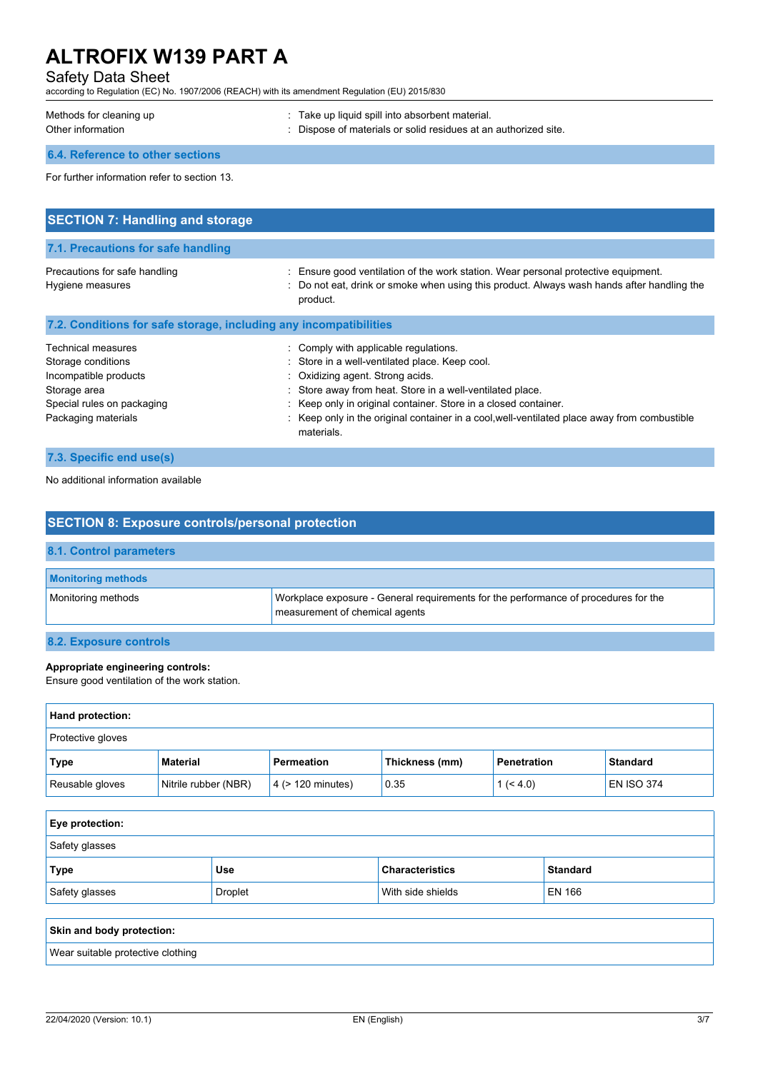# Safety Data Sheet

according to Regulation (EC) No. 1907/2006 (REACH) with its amendment Regulation (EU) 2015/830

| Methods for cleaning up | . Take up liquid spill into absorbent material.                 |
|-------------------------|-----------------------------------------------------------------|
| Other information       | : Dispose of materials or solid residues at an authorized site. |

# **6.4. Reference to other sections**

For further information refer to section 13.

| <b>SECTION 7: Handling and storage</b>                                                                                                        |                                                                                                                                                                                                                                                                                                                                                                           |
|-----------------------------------------------------------------------------------------------------------------------------------------------|---------------------------------------------------------------------------------------------------------------------------------------------------------------------------------------------------------------------------------------------------------------------------------------------------------------------------------------------------------------------------|
|                                                                                                                                               |                                                                                                                                                                                                                                                                                                                                                                           |
| 7.1. Precautions for safe handling                                                                                                            |                                                                                                                                                                                                                                                                                                                                                                           |
| Precautions for safe handling<br>Hygiene measures                                                                                             | : Ensure good ventilation of the work station. Wear personal protective equipment.<br>: Do not eat, drink or smoke when using this product. Always wash hands after handling the<br>product.                                                                                                                                                                              |
| 7.2. Conditions for safe storage, including any incompatibilities                                                                             |                                                                                                                                                                                                                                                                                                                                                                           |
| <b>Technical measures</b><br>Storage conditions<br>Incompatible products<br>Storage area<br>Special rules on packaging<br>Packaging materials | : Comply with applicable regulations.<br>: Store in a well-ventilated place. Keep cool.<br>: Oxidizing agent. Strong acids.<br>: Store away from heat. Store in a well-ventilated place.<br>: Keep only in original container. Store in a closed container.<br>: Keep only in the original container in a cool, well-ventilated place away from combustible<br>materials. |

| 7.3. Specific end use(s) |  |
|--------------------------|--|
|                          |  |

No additional information available

| <b>SECTION 8: Exposure controls/personal protection</b>                                                                                     |  |  |
|---------------------------------------------------------------------------------------------------------------------------------------------|--|--|
| 8.1. Control parameters                                                                                                                     |  |  |
| <b>Monitoring methods</b>                                                                                                                   |  |  |
| Monitoring methods<br>Workplace exposure - General requirements for the performance of procedures for the<br>measurement of chemical agents |  |  |
| 8.2. Exposure controls                                                                                                                      |  |  |

# **Appropriate engineering controls:**

Ensure good ventilation of the work station.

| Hand protection:         |                      |                        |                |                    |                   |
|--------------------------|----------------------|------------------------|----------------|--------------------|-------------------|
| <b>Protective gloves</b> |                      |                        |                |                    |                   |
| Type                     | <b>Material</b>      | Permeation             | Thickness (mm) | <b>Penetration</b> | <b>Standard</b>   |
| Reusable gloves          | Nitrile rubber (NBR) | $4$ ( $> 120$ minutes) | 0.35           | 1 (< 4.0)          | <b>EN ISO 374</b> |

| <b>Eye protection:</b> |                |                        |                 |
|------------------------|----------------|------------------------|-----------------|
| Safety glasses         |                |                        |                 |
| Type                   | <b>Use</b>     | <b>Characteristics</b> | <b>Standard</b> |
| Safety glasses         | <b>Droplet</b> | With side shields      | EN 166          |
|                        |                |                        |                 |

| Skin and body protection:         |  |
|-----------------------------------|--|
| Wear suitable protective clothing |  |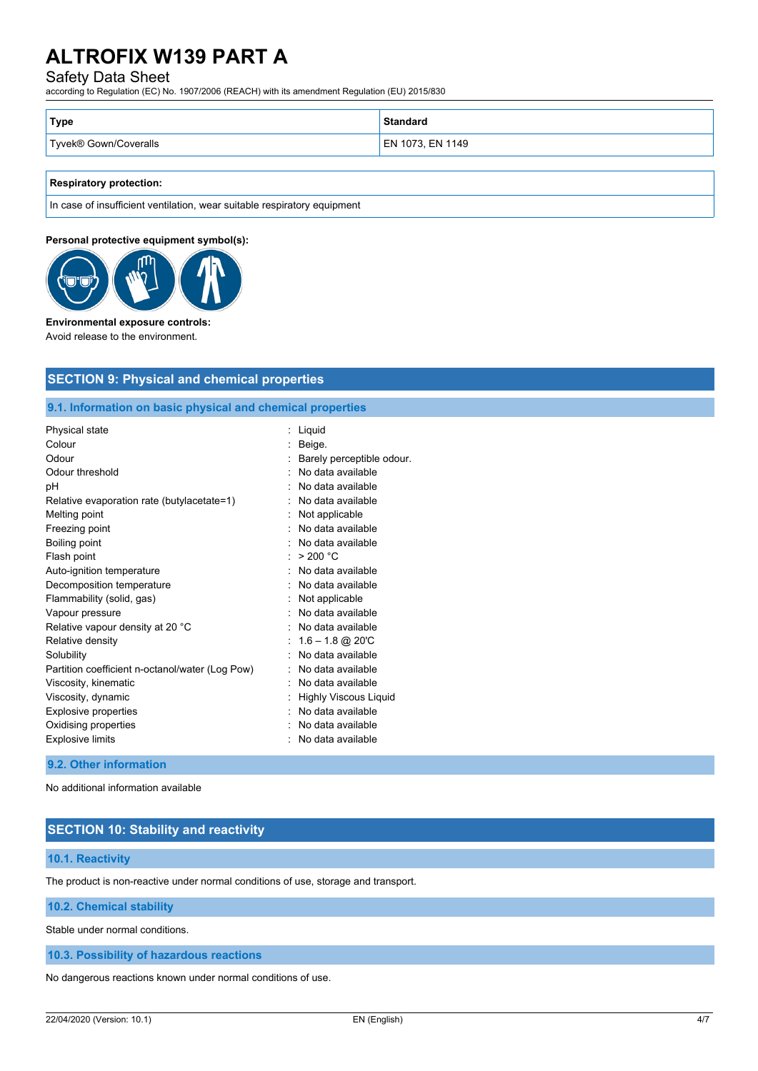# Safety Data Sheet

according to Regulation (EC) No. 1907/2006 (REACH) with its amendment Regulation (EU) 2015/830

| Type                  | Standard         |
|-----------------------|------------------|
| Tyvek® Gown/Coveralls | EN 1073, EN 1149 |

# **Respiratory protection:**

In case of insufficient ventilation, wear suitable respiratory equipment

## **Personal protective equipment symbol(s):**



#### **Environmental exposure controls:**

Avoid release to the environment.

# **SECTION 9: Physical and chemical properties**

# **9.1. Information on basic physical and chemical properties**

| Physical state                                  | Liquid                       |
|-------------------------------------------------|------------------------------|
| Colour                                          | Beige.                       |
| Odour                                           | Barely perceptible odour.    |
| Odour threshold                                 | No data available            |
| рH                                              | No data available            |
| Relative evaporation rate (butylacetate=1)      | No data available            |
| Melting point                                   | Not applicable               |
| Freezing point                                  | No data available            |
| Boiling point                                   | No data available            |
| Flash point                                     | > 200 °C                     |
| Auto-ignition temperature                       | No data available            |
| Decomposition temperature                       | No data available            |
| Flammability (solid, gas)                       | Not applicable               |
| Vapour pressure                                 | No data available            |
| Relative vapour density at 20 °C                | No data available            |
| Relative density                                | $1.6 - 1.8$ @ 20'C           |
| Solubility                                      | No data available            |
| Partition coefficient n-octanol/water (Log Pow) | No data available            |
| Viscosity, kinematic                            | No data available            |
| Viscosity, dynamic                              | <b>Highly Viscous Liquid</b> |
| Explosive properties                            | No data available            |
| Oxidising properties                            | No data available            |
| <b>Explosive limits</b>                         | No data available            |
|                                                 |                              |

## **9.2. Other information**

No additional information available

# **SECTION 10: Stability and reactivity**

#### **10.1. Reactivity**

The product is non-reactive under normal conditions of use, storage and transport.

# **10.2. Chemical stability**

Stable under normal conditions.

**10.3. Possibility of hazardous reactions**

No dangerous reactions known under normal conditions of use.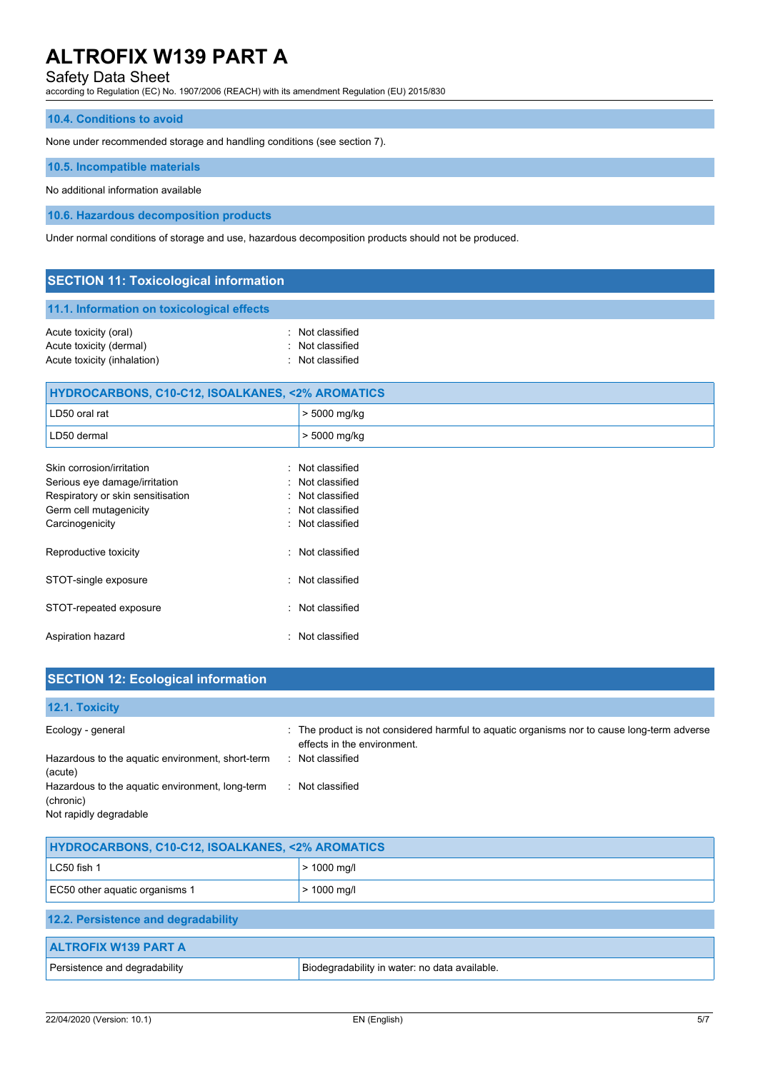Safety Data Sheet

according to Regulation (EC) No. 1907/2006 (REACH) with its amendment Regulation (EU) 2015/830

# **10.4. Conditions to avoid**

None under recommended storage and handling conditions (see section 7).

#### **10.5. Incompatible materials**

No additional information available

**10.6. Hazardous decomposition products**

Under normal conditions of storage and use, hazardous decomposition products should not be produced.

| <b>SECTION 11: Toxicological information</b>                                                                              |                                                                              |  |  |
|---------------------------------------------------------------------------------------------------------------------------|------------------------------------------------------------------------------|--|--|
| 11.1. Information on toxicological effects                                                                                |                                                                              |  |  |
| Acute toxicity (oral)<br>Acute toxicity (dermal)<br>Acute toxicity (inhalation)                                           | : Not classified<br>: Not classified<br>: Not classified                     |  |  |
| <b>HYDROCARBONS, C10-C12, ISOALKANES, &lt;2% AROMATICS</b>                                                                |                                                                              |  |  |
| LD50 oral rat                                                                                                             | > 5000 mg/kg                                                                 |  |  |
| LD50 dermal                                                                                                               | > 5000 mg/kg                                                                 |  |  |
| Skin corrosion/irritation<br>Serious eye damage/irritation<br>Respiratory or skin sensitisation<br>Germ cell mutagenicity | : Not classified<br>: Not classified<br>: Not classified<br>: Not classified |  |  |
| Carcinogenicity                                                                                                           | : Not classified                                                             |  |  |
| Reproductive toxicity                                                                                                     | : Not classified                                                             |  |  |

| STOT-single exposure   | · Not classified |
|------------------------|------------------|
| STOT-repeated exposure | . Not classified |
| Aspiration hazard      | · Not classified |

| <b>SECTION 12: Ecological information</b>                                              |                                                                                                                            |
|----------------------------------------------------------------------------------------|----------------------------------------------------------------------------------------------------------------------------|
| 12.1. Toxicity                                                                         |                                                                                                                            |
| Ecology - general                                                                      | : The product is not considered harmful to aquatic organisms nor to cause long-term adverse<br>effects in the environment. |
| Hazardous to the aquatic environment, short-term<br>(acute)                            | : Not classified                                                                                                           |
| Hazardous to the aquatic environment, long-term<br>(chronic)<br>Not rapidly degradable | : Not classified                                                                                                           |

| <b>HYDROCARBONS, C10-C12, ISOALKANES, &lt;2% AROMATICS</b> |                                               |  |
|------------------------------------------------------------|-----------------------------------------------|--|
| LC50 fish 1                                                | $> 1000$ mg/l                                 |  |
| EC50 other aquatic organisms 1                             | $> 1000$ mg/l                                 |  |
| 12.2. Persistence and degradability                        |                                               |  |
| <b>ALTROFIX W139 PART A</b>                                |                                               |  |
| Persistence and degradability                              | Biodegradability in water: no data available. |  |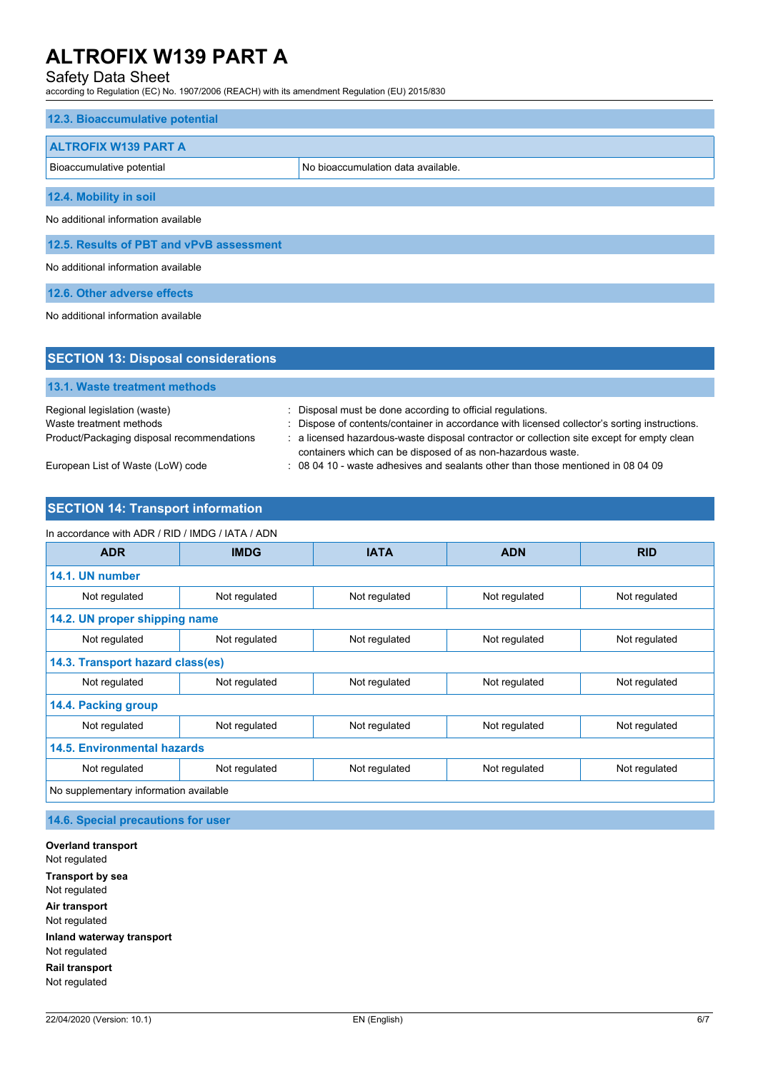# Safety Data Sheet

according to Regulation (EC) No. 1907/2006 (REACH) with its amendment Regulation (EU) 2015/830

| 12.3. Bioaccumulative potential          |                                    |  |  |
|------------------------------------------|------------------------------------|--|--|
| <b>ALTROFIX W139 PART A</b>              |                                    |  |  |
| Bioaccumulative potential                | No bioaccumulation data available. |  |  |
| 12.4. Mobility in soil                   |                                    |  |  |
| No additional information available      |                                    |  |  |
| 12.5. Results of PBT and vPvB assessment |                                    |  |  |
| No additional information available      |                                    |  |  |
| 12.6. Other adverse effects              |                                    |  |  |
| No additional information available      |                                    |  |  |

| <b>SECTION 13: Disposal considerations</b> |                                                                                                                                                           |
|--------------------------------------------|-----------------------------------------------------------------------------------------------------------------------------------------------------------|
| 13.1. Waste treatment methods              |                                                                                                                                                           |
| Regional legislation (waste)               | : Disposal must be done according to official regulations.                                                                                                |
| Waste treatment methods                    | : Dispose of contents/container in accordance with licensed collector's sorting instructions.                                                             |
| Product/Packaging disposal recommendations | : a licensed hazardous-waste disposal contractor or collection site except for empty clean<br>containers which can be disposed of as non-hazardous waste. |
| European List of Waste (LoW) code          | : 08 04 10 - waste adhesives and sealants other than those mentioned in 08 04 09                                                                          |

# **SECTION 14: Transport information**

#### In accordance with ADR / RID / IMDG / IATA / ADN

| <b>ADR</b>                             | <b>IMDG</b>   | <b>IATA</b>   | <b>ADN</b>    | <b>RID</b>    |
|----------------------------------------|---------------|---------------|---------------|---------------|
| 14.1. UN number                        |               |               |               |               |
| Not regulated                          | Not regulated | Not regulated | Not regulated | Not regulated |
| 14.2. UN proper shipping name          |               |               |               |               |
| Not regulated                          | Not regulated | Not regulated | Not regulated | Not regulated |
| 14.3. Transport hazard class(es)       |               |               |               |               |
| Not regulated                          | Not regulated | Not regulated | Not regulated | Not regulated |
| 14.4. Packing group                    |               |               |               |               |
| Not regulated                          | Not regulated | Not regulated | Not regulated | Not regulated |
| <b>14.5. Environmental hazards</b>     |               |               |               |               |
| Not regulated                          | Not regulated | Not regulated | Not regulated | Not regulated |
| No supplementary information available |               |               |               |               |

**14.6. Special precautions for user**

**Overland transport** Not regulated **Transport by sea** Not regulated **Air transport** Not regulated **Inland waterway transport** Not regulated **Rail transport** Not regulated